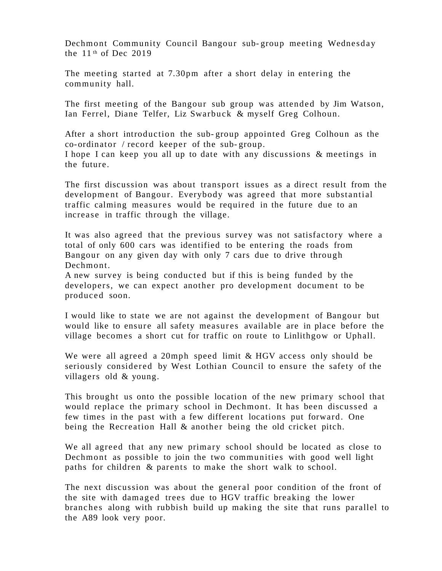Dechmont Community Council Bangour sub- group meeting Wednesday the  $11<sup>th</sup>$  of Dec 2019

The meeting started at 7.30pm after a short delay in entering the community hall.

The first meeting of the Bangour sub group was attended by Jim Watson, Ian Ferrel, Diane Telfer, Liz Swarbuck & myself Greg Colhoun.

After a short introduction the sub- group appointed Greg Colhoun as the co-ordinator / record keeper of the sub- group. I hope I can keep you all up to date with any discussions & meetings in the future.

The first discussion was about transport issues as a direct result from the development of Bangour. Everybody was agreed that more substantial traffic calming measures would be required in the future due to an increase in traffic through the village.

It was also agreed that the previous survey was not satisfactory where a total of only 600 cars was identified to be entering the roads from Bangour on any given day with only 7 cars due to drive through Dechmont.

A new survey is being conducted but if this is being funded by the developers, we can expect another pro development document to be produced soon.

I would like to state we are not against the development of Bangour but would like to ensure all safety measures available are in place before the village becomes a short cut for traffic on route to Linlithgow or Uphall.

We were all agreed a 20mph speed limit & HGV access only should be seriously considered by West Lothian Council to ensure the safety of the villagers old & young.

This brought us onto the possible location of the new primary school that would replace the primary school in Dechmont. It has been discussed a few times in the past with a few different locations put forward. One being the Recreation Hall & another being the old cricket pitch.

We all agreed that any new primary school should be located as close to Dechmont as possible to join the two communities with good well light paths for children & parents to make the short walk to school.

The next discussion was about the general poor condition of the front of the site with damaged trees due to HGV traffic breaking the lower branches along with rubbish build up making the site that runs parallel to the A89 look very poor.